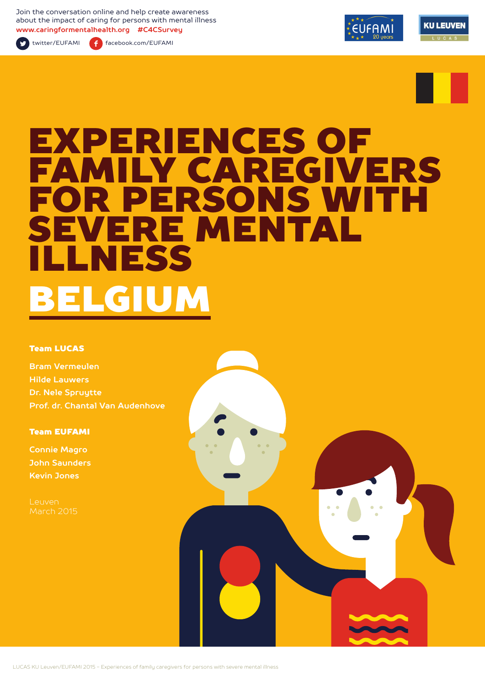Join the conversation online and help create awareness about the impact of caring for persons with mental illness **www.caringformentalhealth.org #C4CSurvey**



twitter/EUFAMI facebook.com/EUFAMI





# EXPERIENCES OF FAMILY CAREGIVERS FOR PERSONS WITH EVERE MENTAL ILLNESS BELGIUM

#### Team LUCAS

**Bram Vermeulen Hilde Lauwers Dr. Nele Spruytte Prof. dr. Chantal Van Audenhove**

Team EUFAMI

**Connie Magro John Saunders Kevin Jones**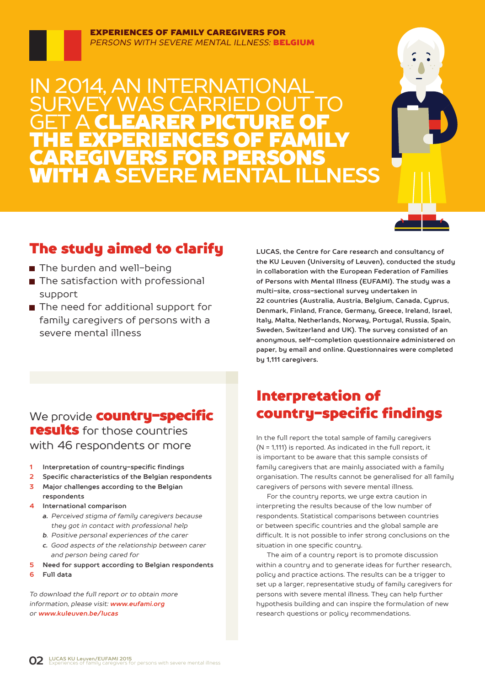#### EXPERIENCES OF FAMILY CAREGIVERS FOR *PERSONS WITH SEVERE MENTAL ILLNESS:* BELGIUM

2014, AN INTERNATIO SURVEY WAS CARRIED OUT TO **GET A CLEARER PICTURE OF** THE EXPERIENCES OF FAMILY CAREGIVERS FOR PERSONS WITH A **SEVERE MENTAL ILLNESS**



# The study aimed to clarify

- The burden and well-being
- The satisfaction with professional support
- The need for additional support for family caregivers of persons with a severe mental illness

**LUCAS, the Centre for Care research and consultancy of the KU Leuven (University of Leuven), conducted the study in collaboration with the European Federation of Families of Persons with Mental Illness (EUFAMI). The study was a multi-site, cross-sectional survey undertaken in 22 countries (Australia, Austria, Belgium, Canada, Cyprus, Denmark, Finland, France, Germany, Greece, Ireland, Israel, Italy, Malta, Netherlands, Norway, Portugal, Russia, Spain, Sweden, Switzerland and UK). The survey consisted of an anonymous, self-completion questionnaire administered on paper, by email and online. Questionnaires were completed by 1,111 caregivers.** 

### We provide **country-specific** results for those countries with 46 respondents or more

- **1 Interpretation of country-specific findings**
- **2 Specific characteristics of the Belgian respondents**
- **3 Major challenges according to the Belgian respondents**
- **4 International comparison**
	- *a. Perceived stigma of family caregivers because they got in contact with professional help*
	- *b. Positive personal experiences of the carer*
	- *c. Good aspects of the relationship between carer and person being cared for*
- **5 Need for support according to Belgian respondents**
- **6 Full data**

*To download the full report or to obtain more information, please visit: www.eufami.org or www.kuleuven.be/lucas*

# Interpretation of country-specific findings

In the full report the total sample of family caregivers (N = 1,111) is reported. As indicated in the full report, it is important to be aware that this sample consists of family caregivers that are mainly associated with a family organisation. The results cannot be generalised for all family caregivers of persons with severe mental illness.

For the country reports, we urge extra caution in interpreting the results because of the low number of respondents. Statistical comparisons between countries or between specific countries and the global sample are difficult. It is not possible to infer strong conclusions on the situation in one specific country.

The aim of a country report is to promote discussion within a country and to generate ideas for further research, policy and practice actions. The results can be a trigger to set up a larger, representative study of family caregivers for persons with severe mental illness. They can help further hypothesis building and can inspire the formulation of new research questions or policy recommendations.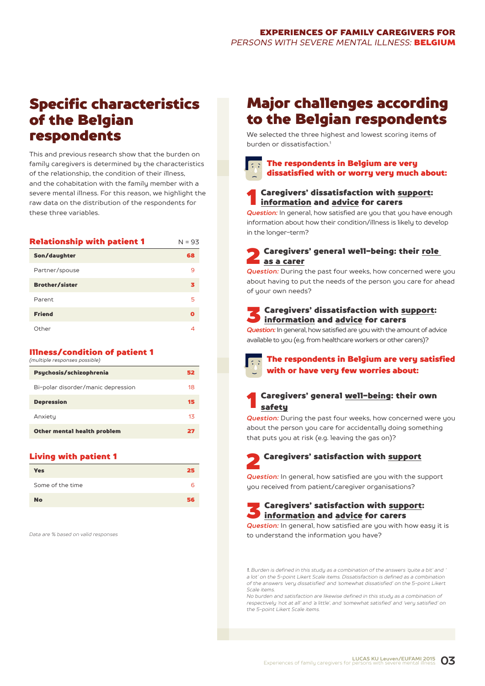# Specific characteristics of the Belgian respondents

This and previous research show that the burden on family caregivers is determined by the characteristics of the relationship, the condition of their illness, and the cohabitation with the family member with a severe mental illness. For this reason, we highlight the raw data on the distribution of the respondents for these three variables.

| <b>Relationship with patient 1</b> | $N = 93$ |
|------------------------------------|----------|
| Son/daughter                       | 68       |
| Partner/spouse                     | 9        |
| <b>Brother/sister</b>              | з        |
| Parent                             | 5        |
| <b>Friend</b>                      | O        |
| Other                              | 4        |

#### Illness/condition of patient 1

*(multiple responses possible)*

| Psychosis/schizophrenia            | 52 |
|------------------------------------|----|
| Bi-polar disorder/manic depression | 18 |
| <b>Depression</b>                  | 15 |
| Anxiety                            | 13 |
| Other mental health problem        | 27 |

#### Living with patient 1

| <b>Yes</b>       | 25 |
|------------------|----|
| Some of the time | ь  |
| <b>No</b>        | 56 |

*Data are % based on valid responses*

# Major challenges according to the Belgian respondents

We selected the three highest and lowest scoring items of burden or dissatisfaction<sup>1</sup>

#### The respondents in Belgium are very dissatisfied with or worry very much about:

# **1** Caregivers' dissatisfaction with <u>support</u>:<br><u>information</u> and <u>advice</u> for carers

*Question:* In general, how satisfied are you that you have enough information about how their condition/illness is likely to develop in the longer-term?

#### Caregivers' general well-being: their role as a carer

*Question:* During the past four weeks, how concerned were you about having to put the needs of the person you care for ahead of your own needs?

#### Caregivers' dissatisfaction with support: information and advice for carers

*Question:* In general, how satisfied are you with the amount of advice available to you (e.g. from healthcare workers or other carers)?



#### Caregivers' general well-being: their own safety

**Question:** During the past four weeks, how concerned were you about the person you care for accidentally doing something that puts you at risk (e.g. leaving the gas on)?

# 2 Caregivers' satisfaction with support

*Question:* In general, how satisfied are you with the support you received from patient/caregiver organisations?

S Caregivers' satisfaction with support:<br>information and advice for carers

**Question:** In general, how satisfied are you with how easy it is to understand the information you have?

*1. Burden is defined in this study as a combination of the answers 'quite a bit' and ' a lot' on the 5-point Likert Scale items. Dissatisfaction is defined as a combination of the answers 'very dissatisfied' and 'somewhat dissatisfied' on the 5-point Likert Scale items.*

*No burden and satisfaction are likewise defined in this study as a combination of respectively 'not at all' and 'a little', and 'somewhat satisfied' and 'very satisfied' on the 5-point Likert Scale items.*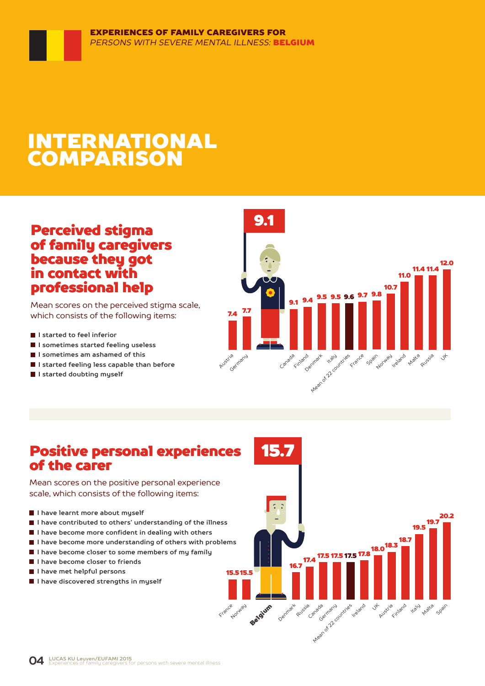# INTERNATIONAL COMPARISON

### Perceived stigma of family caregivers because they got in contact with professional help

Mean scores on the perceived stigma scale, which consists of the following items:

- **I** I started to feel inferior
- **I sometimes started feeling useless**
- **I sometimes am ashamed of this**
- **I started feeling less capable than before**
- **I started doubting myself**



### Positive personal experiences of the carer

Mean scores on the positive personal experience scale, which consists of the following items:

- **I have learnt more about myself**
- **I have contributed to others' understanding of the illness**
- **I have become more confident in dealing with others**
- **I have become more understanding of others with problems**
- **I have become closer to some members of my family**
- **I have become closer to friends**
- **I have met helpful persons**
- **I have discovered strengths in myself**

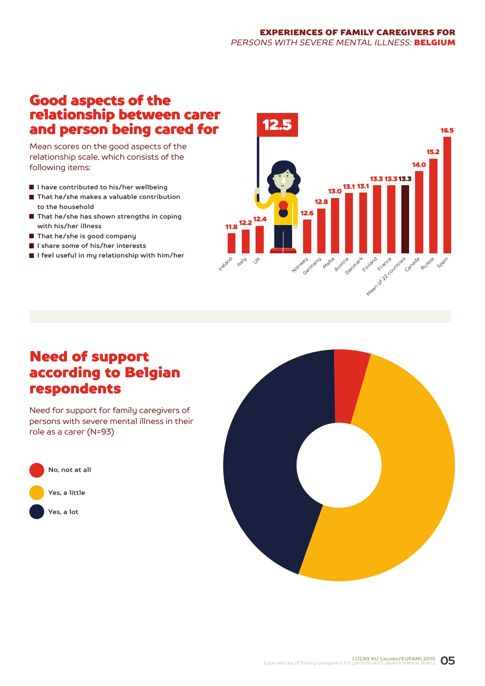#### EXPERIENCES OF FAMILY CAREGIVERS FOR *PERSONS WITH SEVERE MENTAL ILLNESS:* BELGIUM

### Good aspects of the relationship between carer and person being cared for

Mean scores on the good aspects of the relationship scale, which consists of the following items:

- **I have contributed to his/her wellbeing**
- **That he/she makes a valuable contribution to the household**
- **That he/she has shown strengths in coping with his/her illness**
- **That he/she is good company**
- **I share some of his/her interests**
- **I feel useful in my relationship with him/her**



# Need of support according to Belgian respondents

Need for support for family caregivers of persons with severe mental illness in their role as a carer (N=93)



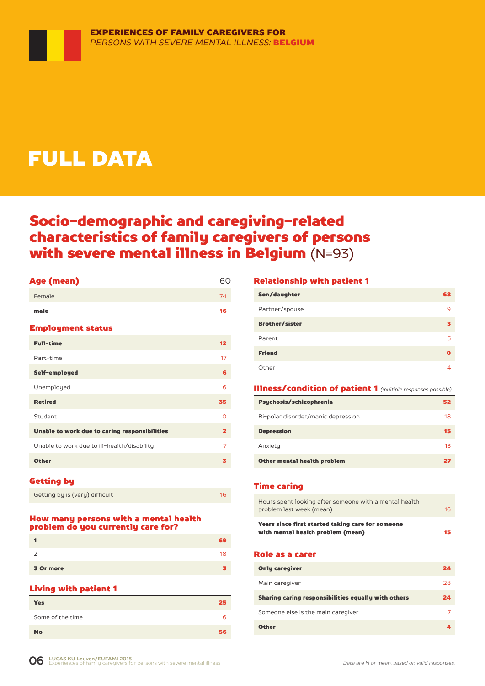# FULL DATA

# Socio-demographic and caregiving-related characteristics of family caregivers of persons with severe mental illness in Belgium (N=93)

| Age (mean)                                    | 60                      |
|-----------------------------------------------|-------------------------|
| Female                                        | 74                      |
| male                                          | 16                      |
| <b>Employment status</b>                      |                         |
| <b>Full-time</b>                              | 12                      |
| Part-time                                     | 17                      |
| Self-employed                                 | 6                       |
| Unemployed                                    | 6                       |
| <b>Retired</b>                                | 35                      |
| Student                                       | O                       |
| Unable to work due to caring responsibilities | $\overline{\mathbf{2}}$ |
| Unable to work due to ill-health/disability   | 7                       |
| <b>Other</b>                                  | з                       |
|                                               |                         |

#### Getting by

| Getting by is (very) difficult |
|--------------------------------|
|--------------------------------|

#### How many persons with a mental health problem do you currently care for?

|           | ٦9. |
|-----------|-----|
| っ         | 18  |
| 3 Or more |     |

#### Living with patient 1

| __               |    |
|------------------|----|
| <b>Yes</b>       | 25 |
| Some of the time | 6  |
| <b>No</b>        | 56 |

#### Relationship with patient 1

| Son/daughter          | 68 |
|-----------------------|----|
| Partner/spouse        | 9  |
| <b>Brother/sister</b> |    |
| Parent                | 5  |
| <b>Friend</b>         | Ω  |
| Other                 |    |

#### Illness/condition of patient 1 *(multiple responses possible)*

| Psychosis/schizophrenia            | 52 |
|------------------------------------|----|
| Bi-polar disorder/manic depression | 18 |
| <b>Depression</b>                  | 15 |
| Anxiety                            | 13 |
| Other mental health problem        | 27 |

#### Time caring

| Years since first started taking care for someone<br>with mental health problem (mean) | 15 |
|----------------------------------------------------------------------------------------|----|
| Hours spent looking after someone with a mental health<br>problem last week (mean)     | 16 |

#### Role as a carer

| <b>Only caregiver</b>                               | 24 |
|-----------------------------------------------------|----|
| Main caregiver                                      | 28 |
| Sharing caring responsibilities equally with others | 24 |
| Someone else is the main caregiver                  |    |
| <b>Other</b>                                        |    |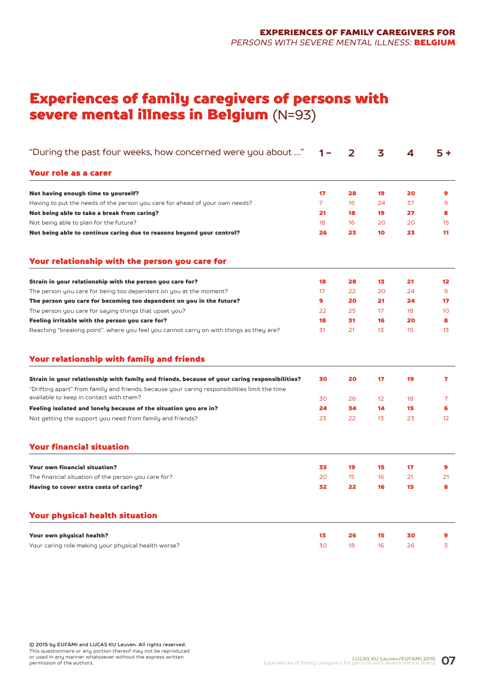# Experiences of family caregivers of persons with severe mental illness in Belgium (N=93)

| "During the past four weeks, how concerned were you about …"                                                                                                                                   | 1 –            | $\mathbf{2}$ | 3  | 4  | $5+$           |
|------------------------------------------------------------------------------------------------------------------------------------------------------------------------------------------------|----------------|--------------|----|----|----------------|
| Your role as a carer                                                                                                                                                                           |                |              |    |    |                |
| Not having enough time to yourself?                                                                                                                                                            | 17             | 28           | 19 | 20 | 9              |
| Having to put the needs of the person you care for ahead of your own needs?                                                                                                                    | $\overline{7}$ | 16           | 24 | 37 | 9              |
| Not being able to take a break from caring?                                                                                                                                                    | 21             | 18           | 19 | 27 | 8              |
| Not being able to plan for the future?                                                                                                                                                         | 18             | 16           | 20 | 20 | 15             |
| Not being able to continue caring due to reasons beyond your control?                                                                                                                          | 26             | 23           | 10 | 23 | 11             |
| Your relationship with the person you care for                                                                                                                                                 |                |              |    |    |                |
| Strain in your relationship with the person you care for?                                                                                                                                      | 18             | 28           | 13 | 21 | 12             |
| The person you care for being too dependent on you at the moment?                                                                                                                              | 17             | 22           | 20 | 24 | 9              |
| The person you care for becoming too dependent on you in the future?                                                                                                                           | 9              | 20           | 21 | 24 | 17             |
| The person you care for saying things that upset you?                                                                                                                                          | 22             | 25           | 17 | 18 | 10             |
| Feeling irritable with the person you care for?                                                                                                                                                | 18             | 31           | 16 | 20 | 8              |
| Reaching "breaking point", where you feel you cannot carry on with things as they are?                                                                                                         | 31             | 21           | 13 | 15 | 13             |
| Your relationship with family and friends                                                                                                                                                      |                |              |    |    |                |
| Strain in your relationship with family and friends, because of your caring responsibilities?<br>"Drifting apart" from family and friends, because your caring responsibilities limit the time | 30             | 20           | 17 | 19 | 7              |
| available to keep in contact with them?                                                                                                                                                        | 30             | 26           | 12 | 18 | $\overline{7}$ |
| Feeling isolated and lonely because of the situation you are in?                                                                                                                               | 24             | 34           | 14 | 15 | 6              |
| Not getting the support you need from family and friends?                                                                                                                                      | 23             | 22           | 13 | 23 | 12             |
| <b>Your financial situation</b>                                                                                                                                                                |                |              |    |    |                |
| <b>Your own financial situation?</b>                                                                                                                                                           | 33             | 19           | 15 | 17 | 9              |
| The financial situation of the person you care for?                                                                                                                                            | 20             | 15           | 16 | 21 | 21             |
| Having to cover extra costs of caring?                                                                                                                                                         | 32             | 22           | 16 | 15 | 8              |
| <b>Your physical health situation</b>                                                                                                                                                          |                |              |    |    |                |
| Your own physical health?                                                                                                                                                                      | 13             | 26           | 15 | 30 | 9              |
| Your caring role making your physical health worse?                                                                                                                                            | 30             | 18           | 16 | 26 | 3              |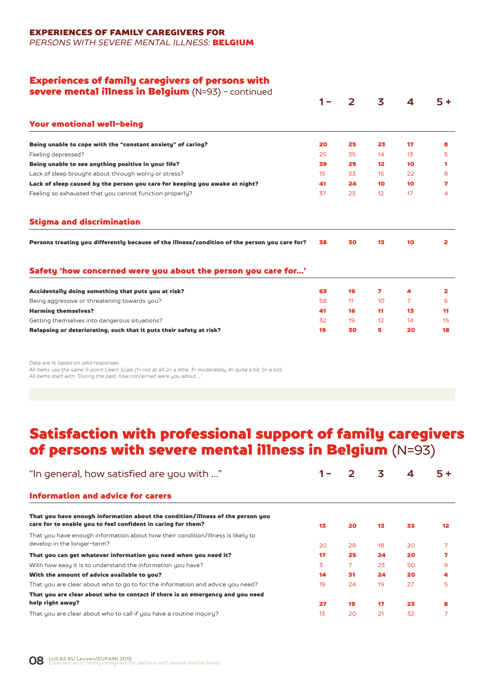EXPERIENCES OF FAMILY CAREGIVERS FOR

*PERSONS WITH SEVERE MENTAL ILLNESS:* BELGIUM

#### Experiences of family caregivers of persons with

| severe mental illness in Belgium (N=93) - continued                                           |     |              |                 |    |      |
|-----------------------------------------------------------------------------------------------|-----|--------------|-----------------|----|------|
|                                                                                               | 1 – | $\mathbf{2}$ | 3               | 4  | $5+$ |
| <b>Your emotional well-being</b>                                                              |     |              |                 |    |      |
| Being unable to cope with the "constant anxiety" of caring?                                   | 20  | 25           | 23              | 17 | 8    |
| Feeling depressed?                                                                            | 25  | 35           | 14              | 13 | 5    |
| Being unable to see anything positive in your life?                                           | 39  | 29           | 12 <sup>2</sup> | 10 | 1    |
| Lack of sleep brought about through worry or stress?                                          | 15  | 33           | 15              | 22 | 8    |
| Lack of sleep caused by the person you care for keeping you awake at night?                   | 41  | 24           | 10              | 10 | 7    |
| Feeling so exhausted that you cannot function properly?                                       | 37  | 23           | 12              | 17 | 4    |
| <b>Stigma and discrimination</b>                                                              |     |              |                 |    |      |
| Persons treating you differently because of the illness/condition of the person you care for? | 38  | 30           | 13              | 10 | 2    |
|                                                                                               |     |              |                 |    |      |
| Safety 'how concerned were you about the person you care for'                                 |     |              |                 |    |      |
| Accidentally doing something that puts you at risk?                                           | 63  | 16           | 7               | 4  | 2    |
| Being aggressive or threatening towards you?                                                  | 58  | 11           | 10              | 7  | 6    |
| <b>Harming themselves?</b>                                                                    | 41  | 16           | 11              | 13 | 11   |
| Getting themselves into dangerous situations?                                                 | 32  | 19           | 12              | 14 | 15   |

*Data are N, based on valid responses.*

*All items use the same 5-point Likert Scale (1= not at all, 2= a little, 3= moderately, 4= quite a bit, 5= a lot). All items start with "During the past, how concerned were you about …".*

# Satisfaction with professional support of family caregivers of persons with severe mental illness in Belgium (N=93)

| "In general, how satisfied are you with "                                                                                                      |    | フ  | 3  | 4  | 5+                |
|------------------------------------------------------------------------------------------------------------------------------------------------|----|----|----|----|-------------------|
| Information and advice for carers                                                                                                              |    |    |    |    |                   |
| That you have enough information about the condition/illness of the person you<br>care for to enable you to feel confident in caring for them? | 13 | 20 | 13 | 33 | $12 \overline{ }$ |
| That you have enough information about how their condition/illness is likely to<br>develop in the longer-term?                                 | 20 | 28 | 18 | 20 |                   |
| That you can get whatever information you need when you need it?                                                                               | 17 | 25 | 24 | 20 |                   |
| With how easy it is to understand the information you have?                                                                                    | 3  | 7  | 23 | 50 | 9                 |
| With the amount of advice available to you?                                                                                                    | 14 | 31 | 24 | 20 | 4                 |
| That you are clear about who to go to for the information and advice you need?                                                                 | 19 | 24 | 19 | 27 | 5                 |
| That you are clear about who to contact if there is an emergency and you need                                                                  |    |    |    |    |                   |
| help right away?                                                                                                                               | 27 | 19 | 17 | 23 | 8                 |
| That you are clear about who to call if you have a routine inquiry?                                                                            | 13 | 20 | 21 | 32 |                   |